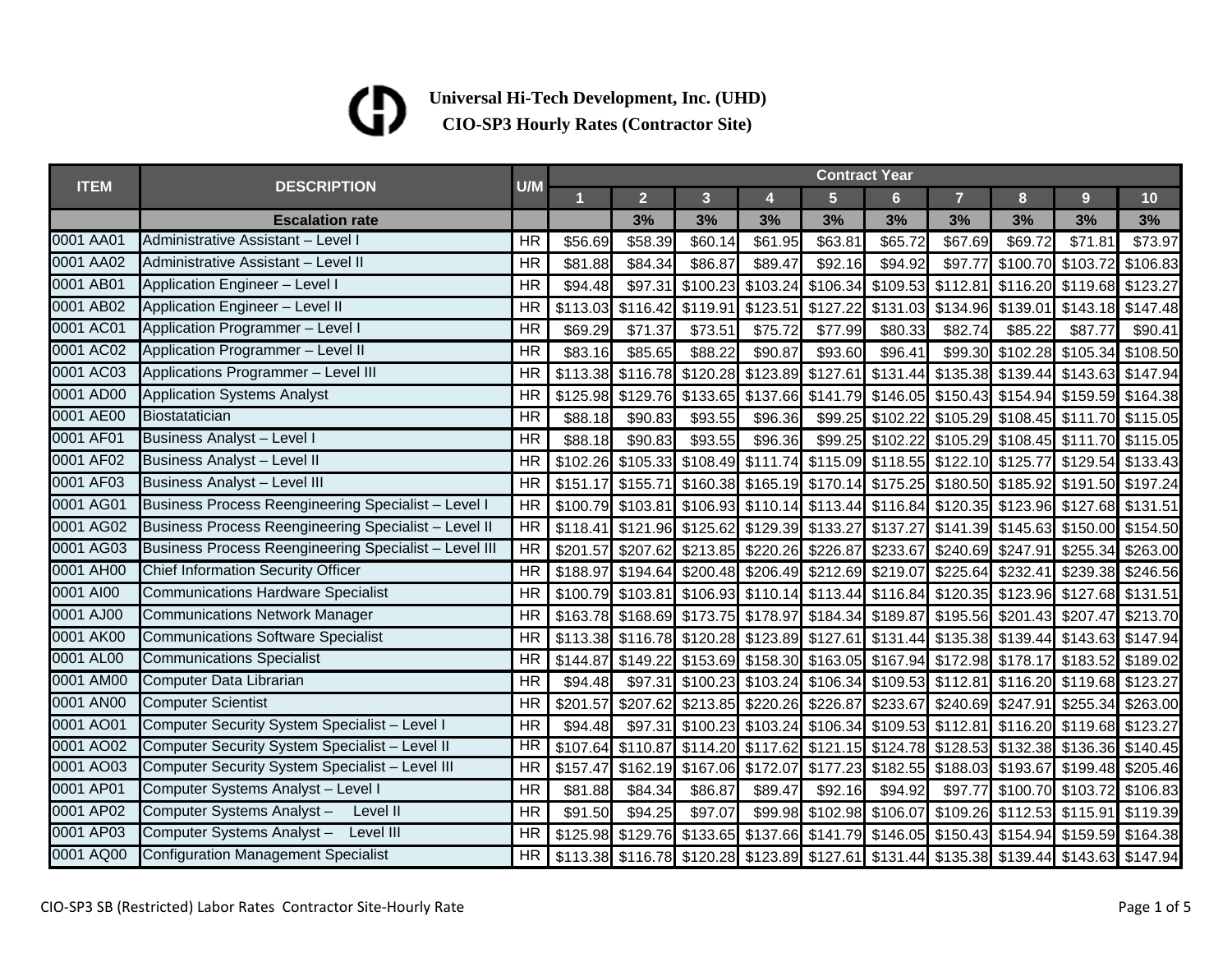## (D

|             | <b>DESCRIPTION</b>                                    | U/M       | <b>Contract Year</b> |                |                                              |                   |                |                   |                                                                                           |          |                                     |          |  |
|-------------|-------------------------------------------------------|-----------|----------------------|----------------|----------------------------------------------|-------------------|----------------|-------------------|-------------------------------------------------------------------------------------------|----------|-------------------------------------|----------|--|
| <b>ITEM</b> |                                                       |           |                      | $\overline{2}$ | 3                                            | 4                 | $\overline{5}$ | $6 \overline{6}$  | $\overline{7}$                                                                            | 8        | 9                                   | 10       |  |
|             | <b>Escalation rate</b>                                |           |                      | 3%             | 3%                                           | 3%                | 3%             | 3%                | 3%                                                                                        | 3%       | 3%                                  | 3%       |  |
| 0001 AA01   | Administrative Assistant - Level I                    | <b>HR</b> | \$56.69              | \$58.39        | \$60.14                                      | \$61.95           | \$63.81        | \$65.72           | \$67.69                                                                                   | \$69.72  | \$71.81                             | \$73.97  |  |
| 0001 AA02   | Administrative Assistant - Level II                   | HR        | \$81.88              | \$84.34        | \$86.87                                      | \$89.47           | \$92.16        | \$94.92           | \$97.77                                                                                   |          | \$100.70 \$103.72                   | \$106.83 |  |
| 0001 AB01   | Application Engineer - Level I                        | HR        | \$94.48              | \$97.31        |                                              | \$100.23 \$103.24 | \$106.34       | \$109.53 \$112.81 |                                                                                           |          | \$116.20 \$119.68 \$123.27          |          |  |
| 0001 AB02   | Application Engineer - Level II                       | <b>HR</b> | \$113.03             | \$116.42       | \$119.91                                     | \$123.51          | \$127.22       | \$131.03          | \$134.96                                                                                  | \$139.01 | \$143.18 \$147.48                   |          |  |
| 0001 AC01   | Application Programmer - Level I                      | <b>HR</b> | \$69.29              | \$71.37        | \$73.51                                      | \$75.72           | \$77.99        | \$80.33           | \$82.74                                                                                   | \$85.22  | \$87.77                             | \$90.41  |  |
| 0001 AC02   | Application Programmer - Level II                     | <b>HR</b> | \$83.16              | \$85.65        | \$88.22                                      | \$90.87           | \$93.60        | \$96.41           | \$99.30                                                                                   |          | \$102.28 \$105.34                   | \$108.50 |  |
| 0001 AC03   | Applications Programmer - Level III                   | <b>HR</b> |                      |                | \$113.38 \$116.78 \$120.28 \$123.89 \$127.61 |                   |                |                   | \$131.44 \$135.38 \$139.44 \$143.63 \$147.94                                              |          |                                     |          |  |
| 0001 AD00   | <b>Application Systems Analyst</b>                    | <b>HR</b> | \$125.98             |                |                                              |                   |                |                   | \$129.76 \$133.65 \$137.66 \$141.79 \$146.05 \$150.43 \$154.94 \$159.59 \$164.38          |          |                                     |          |  |
| 0001 AE00   | Biostatatician                                        | <b>HR</b> | \$88.18              | \$90.83        | \$93.55                                      | \$96.36           |                |                   | \$99.25 \$102.22 \$105.29 \$108.45 \$111.70 \$115.05                                      |          |                                     |          |  |
| 0001 AF01   | <b>Business Analyst - Level I</b>                     | <b>HR</b> | \$88.18              | \$90.83        | \$93.55                                      | \$96.36           |                |                   | \$99.25 \$102.22 \$105.29 \$108.45 \$111.70 \$115.05                                      |          |                                     |          |  |
| 0001 AF02   | Business Analyst - Level II                           | <b>HR</b> | \$102.26             |                | \$105.33 \$108.49 \$111.74                   |                   |                |                   | \$115.09 \$118.55 \$122.10 \$125.77 \$129.54 \$133.43                                     |          |                                     |          |  |
| 0001 AF03   | <b>Business Analyst - Level III</b>                   | <b>HR</b> | \$151.17             | \$155.71       |                                              |                   |                |                   | \$160.38 \$165.19 \$170.14 \$175.25 \$180.50 \$185.92 \$191.50 \$197.24                   |          |                                     |          |  |
| 0001 AG01   | Business Process Reengineering Specialist - Level I   | <b>HR</b> |                      |                |                                              |                   |                |                   | \$100.79 \$103.81 \$106.93 \$110.14 \$113.44 \$116.84 \$120.35 \$123.96 \$127.68 \$131.51 |          |                                     |          |  |
| 0001 AG02   | Business Process Reengineering Specialist - Level II  | <b>HR</b> | \$118.41             |                | \$121.96 \$125.62 \$129.39 \$133.27          |                   |                |                   | \$137.27 \$141.39 \$145.63 \$150.00 \$154.50                                              |          |                                     |          |  |
| 0001 AG03   | Business Process Reengineering Specialist - Level III | <b>HR</b> | \$201.57             |                | \$207.62 \$213.85 \$220.26                   |                   | \$226.87       |                   | \$233.67 \$240.69 \$247.91 \$255.34                                                       |          |                                     | \$263.00 |  |
| 0001 AH00   | Chief Information Security Officer                    | <b>HR</b> | \$188.97             |                | \$194.64 \$200.48 \$206.49 \$212.69 \$219.07 |                   |                |                   |                                                                                           |          | \$225.64 \$232.41 \$239.38 \$246.56 |          |  |
| 0001 AI00   | <b>Communications Hardware Specialist</b>             | <b>HR</b> | \$100.79             |                |                                              |                   |                |                   | \$103.81 \$106.93 \$110.14 \$113.44 \$116.84 \$120.35 \$123.96 \$127.68 \$131.51          |          |                                     |          |  |
| 0001 AJ00   | <b>Communications Network Manager</b>                 | HR        |                      |                |                                              |                   |                |                   | \$163.78 \$168.69 \$173.75 \$178.97 \$184.34 \$189.87 \$195.56 \$201.43 \$207.47 \$213.70 |          |                                     |          |  |
| 0001 AK00   | <b>Communications Software Specialist</b>             | HR        |                      |                | \$113.38 \$116.78 \$120.28 \$123.89 \$127.61 |                   |                |                   | \$131.44 \$135.38 \$139.44 \$143.63 \$147.94                                              |          |                                     |          |  |
| 0001 AL00   | <b>Communications Specialist</b>                      | <b>HR</b> | \$144.87             |                |                                              |                   |                |                   | \$149.22 \$153.69 \$158.30 \$163.05 \$167.94 \$172.98 \$178.17 \$183.52 \$189.02          |          |                                     |          |  |
| 0001 AM00   | Computer Data Librarian                               | <b>HR</b> | \$94.48              |                |                                              |                   |                |                   | \$97.31 \$100.23 \$103.24 \$106.34 \$109.53 \$112.81 \$116.20 \$119.68 \$123.27           |          |                                     |          |  |
| 0001 AN00   | <b>Computer Scientist</b>                             | <b>HR</b> | \$201.57             |                | \$207.62 \$213.85 \$220.26 \$226.87          |                   |                |                   | \$233.67 \$240.69 \$247.91 \$255.34                                                       |          |                                     | \$263.00 |  |
| 0001 AO01   | Computer Security System Specialist - Level I         | <b>HR</b> | \$94.48              | \$97.31        | \$100.23 \$103.24 \$106.34 \$109.53 \$112.81 |                   |                |                   |                                                                                           |          | \$116.20 \$119.68 \$123.27          |          |  |
| 0001 AO02   | Computer Security System Specialist - Level II        | HR        |                      |                |                                              |                   |                |                   | \$107.64 \$110.87 \$114.20 \$117.62 \$121.15 \$124.78 \$128.53 \$132.38 \$136.36 \$140.45 |          |                                     |          |  |
| 0001 AO03   | Computer Security System Specialist - Level III       | <b>HR</b> | \$157.47             |                |                                              |                   |                |                   | \$162.19 \$167.06 \$172.07 \$177.23 \$182.55 \$188.03 \$193.67 \$199.48 \$205.46          |          |                                     |          |  |
| 0001 AP01   | Computer Systems Analyst - Level I                    | <b>HR</b> | \$81.88              | \$84.34        | \$86.87                                      | \$89.47           | \$92.16        | \$94.92           | \$97.77                                                                                   |          | \$100.70 \$103.72                   | \$106.83 |  |
| 0001 AP02   | Computer Systems Analyst -<br>Level II                | <b>HR</b> | \$91.50              | \$94.25        | \$97.07                                      | \$99.98           |                |                   | \$102.98 \$106.07 \$109.26 \$112.53 \$115.91                                              |          |                                     | \$119.39 |  |
| 0001 AP03   | Computer Systems Analyst-<br>Level III                | <b>HR</b> |                      |                |                                              |                   |                |                   | \$125.98 \$129.76 \$133.65 \$137.66 \$141.79 \$146.05 \$150.43 \$154.94 \$159.59 \$164.38 |          |                                     |          |  |
| 0001 AQ00   | <b>Configuration Management Specialist</b>            | <b>HR</b> |                      |                |                                              |                   |                |                   | \$113.38 \$116.78 \$120.28 \$123.89 \$127.61 \$131.44 \$135.38 \$139.44 \$143.63 \$147.94 |          |                                     |          |  |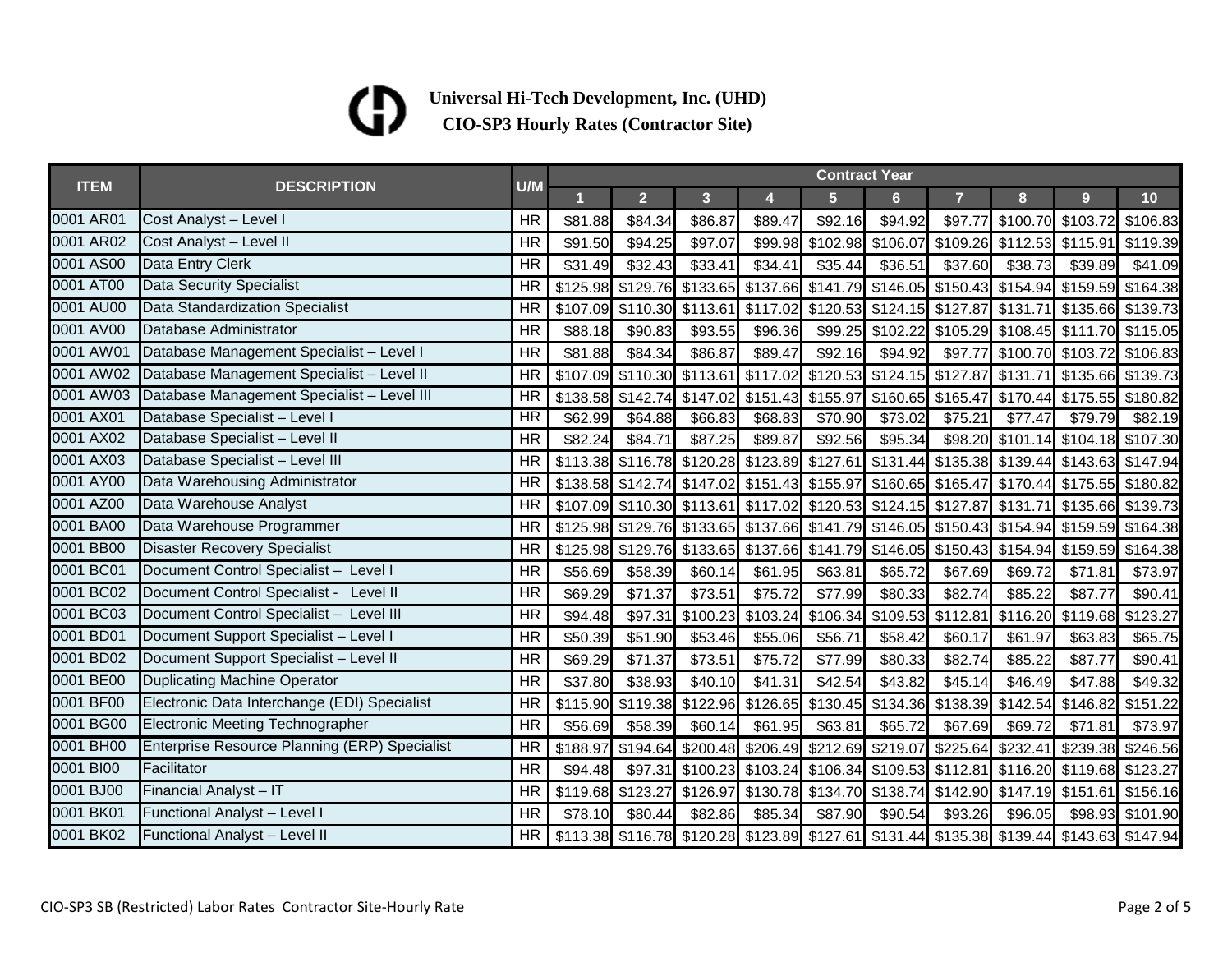## $\mathbf G$

| <b>ITEM</b> |                                                     | U/M             | <b>Contract Year</b> |                |                |                            |                   |                            |                                                                                           |                                    |                            |                  |
|-------------|-----------------------------------------------------|-----------------|----------------------|----------------|----------------|----------------------------|-------------------|----------------------------|-------------------------------------------------------------------------------------------|------------------------------------|----------------------------|------------------|
|             | <b>DESCRIPTION</b>                                  |                 |                      | $\overline{2}$ | 3 <sup>1</sup> | $\overline{\mathbf{4}}$    | $5\phantom{1}$    | 6 <sup>1</sup>             | $\overline{7}$                                                                            | 8                                  | 9 <sup>°</sup>             | 10 <sub>1</sub>  |
| 0001 AR01   | Cost Analyst - Level I                              | <b>HR</b>       | \$81.88              | \$84.34        | \$86.87        | \$89.47                    | \$92.16           | \$94.92                    | \$97.77                                                                                   |                                    | \$100.70 \$103.72 \$106.83 |                  |
| 0001 AR02   | Cost Analyst - Level II                             | <b>HR</b>       | \$91.50              | \$94.25        | \$97.07        | \$99.98                    |                   |                            | \$102.98 \$106.07 \$109.26 \$112.53 \$115.91 \$119.39                                     |                                    |                            |                  |
| 0001 AS00   | <b>Data Entry Clerk</b>                             | <b>HR</b>       | \$31.49              | \$32.43        | \$33.41        | \$34.41                    | \$35.44           | \$36.51                    | \$37.60                                                                                   | \$38.73                            | \$39.89                    | \$41.09          |
| 0001 AT00   | <b>Data Security Specialist</b>                     | HR              | \$125.98             |                |                | \$129.76 \$133.65 \$137.66 |                   |                            | \$141.79 \$146.05 \$150.43 \$154.94 \$159.59 \$164.38                                     |                                    |                            |                  |
| 0001 AU00   | <b>Data Standardization Specialist</b>              | <b>HR</b>       |                      |                |                |                            |                   |                            | \$107.09 \$110.30 \$113.61 \$117.02 \$120.53 \$124.15 \$127.87 \$131.71 \$135.66 \$139.73 |                                    |                            |                  |
| 0001 AV00   | Database Administrator                              | <b>HR</b>       | \$88.18              | \$90.83        | \$93.55        | \$96.36                    |                   |                            | \$99.25 \$102.22 \$105.29 \$108.45 \$111.70 \$115.05                                      |                                    |                            |                  |
| 0001 AW01   | Database Management Specialist - Level I            | <b>HR</b>       | \$81.88              | \$84.34        | \$86.87        | \$89.47                    | \$92.16           | \$94.92                    | \$97.77                                                                                   | \$100.70 \$103.72 \$106.83         |                            |                  |
|             | 0001 AW02 Database Management Specialist - Level II | <b>HR</b>       | \$107.09             |                |                | \$110.30 \$113.61 \$117.02 |                   | \$120.53 \$124.15 \$127.87 |                                                                                           |                                    | \$131.71 \$135.66 \$139.73 |                  |
| 0001 AW03   | Database Management Specialist - Level III          | <b>HR</b>       | \$138.58             |                |                | \$142.74 \$147.02 \$151.43 | \$155.97          |                            | \$160.65 \$165.47                                                                         | \$170.44 \$175.55 \$180.82         |                            |                  |
| 0001 AX01   | Database Specialist - Level I                       | $\overline{HR}$ | \$62.99              | \$64.88        | \$66.83        | \$68.83                    | \$70.90           | \$73.02                    | \$75.21                                                                                   | \$77.47                            | \$79.79                    | \$82.19          |
| 0001 AX02   | Database Specialist - Level II                      | <b>HR</b>       | \$82.24              | \$84.71        | \$87.25        | \$89.87                    | \$92.56           | \$95.34                    |                                                                                           | \$98.20 \$101.14 \$104.18 \$107.30 |                            |                  |
| 0001 AX03   | Database Specialist - Level III                     | <b>HR</b>       | \$113.38             |                |                |                            |                   |                            | \$116.78 \$120.28 \$123.89 \$127.61 \$131.44 \$135.38 \$139.44 \$143.63 \$147.94          |                                    |                            |                  |
| 0001 AY00   | Data Warehousing Administrator                      | <b>HR</b>       |                      |                |                |                            |                   |                            | \$138.58 \$142.74 \$147.02 \$151.43 \$155.97 \$160.65 \$165.47 \$170.44 \$175.55 \$180.82 |                                    |                            |                  |
| 0001 AZ00   | Data Warehouse Analyst                              | <b>HR</b>       |                      |                |                |                            |                   |                            | \$107.09 \$110.30 \$113.61 \$117.02 \$120.53 \$124.15 \$127.87 \$131.71 \$135.66 \$139.73 |                                    |                            |                  |
| 0001 BA00   | Data Warehouse Programmer                           | <b>HR</b>       |                      |                |                |                            |                   |                            | \$125.98 \$129.76 \$133.65 \$137.66 \$141.79 \$146.05 \$150.43 \$154.94 \$159.59 \$164.38 |                                    |                            |                  |
| 0001 BB00   | <b>Disaster Recovery Specialist</b>                 | <b>HR</b>       | \$125.98             |                |                |                            |                   |                            | \$129.76 \$133.65 \$137.66 \$141.79 \$146.05 \$150.43                                     |                                    | \$154.94 \$159.59 \$164.38 |                  |
| 0001 BC01   | Document Control Specialist - Level I               | <b>HR</b>       | \$56.69              | \$58.39        | \$60.14        | \$61.95                    | \$63.81           | \$65.72                    | \$67.69                                                                                   | \$69.72                            | \$71.81                    | \$73.97          |
| 0001 BC02   | Document Control Specialist - Level II              | <b>HR</b>       | \$69.29              | \$71.37        | \$73.51        | \$75.72                    | \$77.99           | \$80.33                    | \$82.74                                                                                   | \$85.22                            | \$87.77                    | \$90.41          |
| 0001 BC03   | Document Control Specialist - Level III             | <b>HR</b>       | \$94.48              | \$97.31        |                | \$100.23 \$103.24          | \$106.34 \$109.53 |                            | \$112.81                                                                                  |                                    | \$116.20 \$119.68 \$123.27 |                  |
| 0001 BD01   | Document Support Specialist - Level I               | <b>HR</b>       | \$50.39              | \$51.90        | \$53.46        | \$55.06                    | \$56.71           | \$58.42                    | \$60.17                                                                                   | \$61.97                            | \$63.83                    | \$65.75          |
| 0001 BD02   | Document Support Specialist - Level II              | <b>HR</b>       | \$69.29              | \$71.37        | \$73.51        | \$75.72                    | \$77.99           | \$80.33                    | \$82.74                                                                                   | \$85.22                            | \$87.77                    | \$90.41          |
| 0001 BE00   | <b>Duplicating Machine Operator</b>                 | <b>HR</b>       | \$37.80              | \$38.93        | \$40.10        | \$41.31                    | \$42.54           | \$43.82                    | \$45.14                                                                                   | \$46.49                            | \$47.88                    | \$49.32          |
| 0001 BF00   | Electronic Data Interchange (EDI) Specialist        | HR              | \$115.90             |                |                | \$119.38 \$122.96 \$126.65 |                   |                            | \$130.45 \$134.36 \$138.39                                                                |                                    | \$142.54 \$146.82 \$151.22 |                  |
| 0001 BG00   | <b>Electronic Meeting Technographer</b>             | <b>HR</b>       | \$56.69              | \$58.39        | \$60.14        | \$61.95                    | \$63.81           | \$65.72                    | \$67.69                                                                                   | \$69.72                            | \$71.81                    | \$73.97          |
| 0001 BH00   | Enterprise Resource Planning (ERP) Specialist       | <b>HR</b>       | \$188.97             |                |                |                            |                   |                            | \$194.64 \$200.48 \$206.49 \$212.69 \$219.07 \$225.64 \$232.41 \$239.38 \$246.56          |                                    |                            |                  |
| 0001 BI00   | Facilitator                                         | <b>HR</b>       | \$94.48              |                |                |                            |                   |                            | \$97.31 \$100.23 \$103.24 \$106.34 \$109.53 \$112.81 \$116.20 \$119.68 \$123.27           |                                    |                            |                  |
| 0001 BJ00   | Financial Analyst - IT                              | HR              | \$119.68             | \$123.27       |                |                            |                   |                            | \$126.97 \$130.78 \$134.70 \$138.74 \$142.90 \$147.19 \$151.61 \$156.16                   |                                    |                            |                  |
| 0001 BK01   | Functional Analyst - Level I                        | <b>HR</b>       | \$78.10              | \$80.44        | \$82.86        | \$85.34                    | \$87.90           | \$90.54                    | \$93.26                                                                                   | \$96.05                            |                            | \$98.93 \$101.90 |
| 0001 BK02   | Functional Analyst - Level II                       | <b>HR</b>       |                      |                |                |                            |                   |                            | \$113.38 \$116.78 \$120.28 \$123.89 \$127.61 \$131.44 \$135.38 \$139.44 \$143.63 \$147.94 |                                    |                            |                  |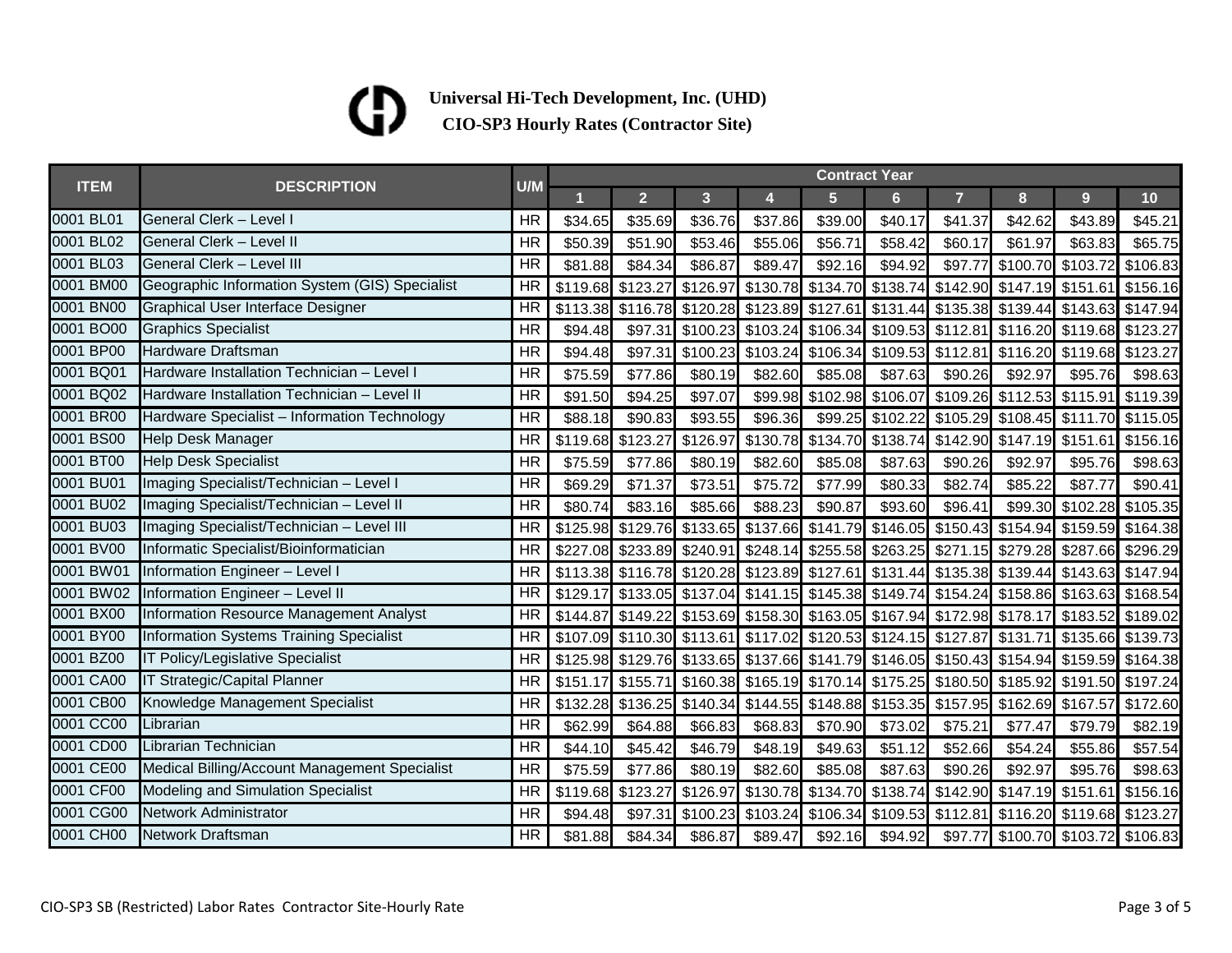### (D

| <b>ITEM</b> | <b>DESCRIPTION</b>                             | <b>Contract Year</b><br>U/M |          |                                     |                            |                         |                |                   |                                                                                           |         |                            |                 |  |  |  |
|-------------|------------------------------------------------|-----------------------------|----------|-------------------------------------|----------------------------|-------------------------|----------------|-------------------|-------------------------------------------------------------------------------------------|---------|----------------------------|-----------------|--|--|--|
|             |                                                |                             |          | $\overline{2}$                      | 3 <sup>1</sup>             | $\overline{\mathbf{4}}$ | 5 <sup>5</sup> | 6 <sup>1</sup>    | $\overline{7}$                                                                            | 8       | 9 <sup>°</sup>             | 10 <sub>1</sub> |  |  |  |
| 0001 BL01   | General Clerk - Level I                        | <b>HR</b>                   | \$34.65  | \$35.69                             | \$36.76                    | \$37.86                 | \$39.00        | \$40.17           | \$41.37                                                                                   | \$42.62 | \$43.89                    | \$45.21         |  |  |  |
| 0001 BL02   | General Clerk - Level II                       | <b>HR</b>                   | \$50.39  | \$51.90                             | \$53.46                    | \$55.06                 | \$56.71        | \$58.42           | \$60.17                                                                                   | \$61.97 | \$63.83                    | \$65.75         |  |  |  |
| 0001 BL03   | <b>General Clerk - Level III</b>               | <b>HR</b>                   | \$81.88  | \$84.34                             | \$86.87                    | \$89.47                 | \$92.16        | \$94.92           | \$97.77                                                                                   |         | \$100.70 \$103.72          | \$106.83        |  |  |  |
| 0001 BM00   | Geographic Information System (GIS) Specialist | <b>HR</b>                   |          | \$119.68 \$123.27 \$126.97          |                            | \$130.78                |                | \$134.70 \$138.74 | \$142.90                                                                                  |         | \$147.19 \$151.61 \$156.16 |                 |  |  |  |
| 0001 BN00   | Graphical User Interface Designer              | HR                          |          |                                     |                            |                         |                |                   | \$113.38 \$116.78 \$120.28 \$123.89 \$127.61 \$131.44 \$135.38 \$139.44 \$143.63 \$147.94 |         |                            |                 |  |  |  |
| 0001 BO00   | <b>Graphics Specialist</b>                     | HR                          | \$94.48  |                                     |                            |                         |                |                   | \$97.31 \$100.23 \$103.24 \$106.34 \$109.53 \$112.81 \$116.20 \$119.68 \$123.27           |         |                            |                 |  |  |  |
| 0001 BP00   | Hardware Draftsman                             | <b>HR</b>                   | \$94.48  | \$97.31                             | \$100.23 \$103.24          |                         |                |                   | \$106.34 \$109.53 \$112.81                                                                |         | \$116.20 \$119.68 \$123.27 |                 |  |  |  |
| 0001 BQ01   | Hardware Installation Technician - Level I     | <b>HR</b>                   | \$75.59  | \$77.86                             | \$80.19                    | \$82.60                 | \$85.08        | \$87.63           | \$90.26                                                                                   | \$92.97 | \$95.76                    | \$98.63         |  |  |  |
| 0001 BQ02   | Hardware Installation Technician - Level II    | HR                          | \$91.50  | \$94.25                             | \$97.07                    | \$99.98                 |                |                   | \$102.98 \$106.07 \$109.26                                                                |         | \$112.53 \$115.91 \$119.39 |                 |  |  |  |
| 0001 BR00   | Hardware Specialist - Information Technology   | <b>HR</b>                   | \$88.18  | \$90.83                             | \$93.55                    | \$96.36                 | \$99.25        | \$102.22          | \$105.29                                                                                  |         | \$108.45 \$111.70 \$115.05 |                 |  |  |  |
| 0001 BS00   | Help Desk Manager                              | HR                          |          | \$119.68 \$123.27 \$126.97          |                            | \$130.78                |                |                   | \$134.70 \$138.74 \$142.90 \$147.19 \$151.61 \$156.16                                     |         |                            |                 |  |  |  |
| 0001 BT00   | <b>Help Desk Specialist</b>                    | <b>HR</b>                   | \$75.59  | \$77.86                             | \$80.19                    | \$82.60                 | \$85.08        | \$87.63           | \$90.26                                                                                   | \$92.97 | \$95.76                    | \$98.63         |  |  |  |
| 0001 BU01   | Imaging Specialist/Technician - Level I        | <b>HR</b>                   | \$69.29  | \$71.37                             | \$73.51                    | \$75.72                 | \$77.99        | \$80.33           | \$82.74                                                                                   | \$85.22 | \$87.77                    | \$90.41         |  |  |  |
| 0001 BU02   | Imaging Specialist/Technician - Level II       | <b>HR</b>                   | \$80.74  | \$83.16                             | \$85.66                    | \$88.23                 | \$90.87        | \$93.60           | \$96.41                                                                                   |         | \$99.30 \$102.28 \$105.35  |                 |  |  |  |
| 0001 BU03   | Imaging Specialist/Technician - Level III      | <b>HR</b>                   |          |                                     |                            |                         |                |                   | \$125.98 \$129.76 \$133.65 \$137.66 \$141.79 \$146.05 \$150.43                            |         | \$154.94 \$159.59 \$164.38 |                 |  |  |  |
| 0001 BV00   | Informatic Specialist/Bioinformatician         | <b>HR</b>                   | \$227.08 |                                     | \$233.89 \$240.91 \$248.14 |                         |                |                   | \$255.58 \$263.25 \$271.15                                                                |         | \$279.28 \$287.66 \$296.29 |                 |  |  |  |
| 0001 BW01   | Information Engineer - Level I                 | <b>HR</b>                   |          |                                     |                            |                         |                |                   | \$113.38 \$116.78 \$120.28 \$123.89 \$127.61 \$131.44 \$135.38 \$139.44 \$143.63 \$147.94 |         |                            |                 |  |  |  |
| 0001 BW02   | Information Engineer - Level II                | HR                          | \$129.17 |                                     |                            |                         |                |                   | \$133.05 \$137.04 \$141.15 \$145.38 \$149.74 \$154.24 \$158.86 \$163.63 \$168.54          |         |                            |                 |  |  |  |
| 0001 BX00   | Information Resource Management Analyst        | HR                          |          |                                     |                            |                         |                |                   | \$144.87 \$149.22 \$153.69 \$158.30 \$163.05 \$167.94 \$172.98 \$178.17 \$183.52 \$189.02 |         |                            |                 |  |  |  |
| 0001 BY00   | Information Systems Training Specialist        | <b>HR</b>                   |          |                                     |                            |                         |                |                   | \$107.09 \$110.30 \$113.61 \$117.02 \$120.53 \$124.15 \$127.87 \$131.71 \$135.66 \$139.73 |         |                            |                 |  |  |  |
| 0001 BZ00   | IT Policy/Legislative Specialist               | <b>HR</b>                   |          |                                     |                            |                         |                |                   | \$125.98 \$129.76 \$133.65 \$137.66 \$141.79 \$146.05 \$150.43 \$154.94 \$159.59 \$164.38 |         |                            |                 |  |  |  |
| 0001 CA00   | IT Strategic/Capital Planner                   | <b>HR</b>                   | \$151.17 | \$155.71                            |                            |                         |                |                   | \$160.38 \$165.19 \$170.14 \$175.25 \$180.50 \$185.92 \$191.50 \$197.24                   |         |                            |                 |  |  |  |
| 0001 CB00   | Knowledge Management Specialist                | HR                          |          | \$132.28 \$136.25 \$140.34 \$144.55 |                            |                         |                |                   | \$148.88 \$153.35 \$157.95                                                                |         | \$162.69 \$167.57 \$172.60 |                 |  |  |  |
| 0001 CC00   | Librarian                                      | <b>HR</b>                   | \$62.99  | \$64.88                             | \$66.83                    | \$68.83                 | \$70.90        | \$73.02           | \$75.21                                                                                   | \$77.47 | \$79.79                    | \$82.19         |  |  |  |
| 0001 CD00   | Librarian Technician                           | <b>HR</b>                   | \$44.10  | \$45.42                             | \$46.79                    | \$48.19                 | \$49.63        | \$51.12           | \$52.66                                                                                   | \$54.24 | \$55.86                    | \$57.54         |  |  |  |
| 0001 CE00   | Medical Billing/Account Management Specialist  | <b>HR</b>                   | \$75.59  | \$77.86                             | \$80.19                    | \$82.60                 | \$85.08        | \$87.63           | \$90.26                                                                                   | \$92.97 | \$95.76                    | \$98.63         |  |  |  |
| 0001 CF00   | Modeling and Simulation Specialist             | HR                          | \$119.68 | \$123.27                            | \$126.97                   | \$130.78                |                | \$134.70 \$138.74 | \$142.90                                                                                  |         | \$147.19 \$151.61 \$156.16 |                 |  |  |  |
| 0001 CG00   | Network Administrator                          | <b>HR</b>                   | \$94.48  | \$97.31                             | \$100.23 \$103.24          |                         | \$106.34       |                   | \$109.53 \$112.81                                                                         |         | \$116.20 \$119.68 \$123.27 |                 |  |  |  |
| 0001 CH00   | <b>Network Draftsman</b>                       | <b>HR</b>                   | \$81.88  | \$84.34                             | \$86.87                    | \$89.47                 | \$92.16        | \$94.92           | \$97.77                                                                                   |         | \$100.70 \$103.72 \$106.83 |                 |  |  |  |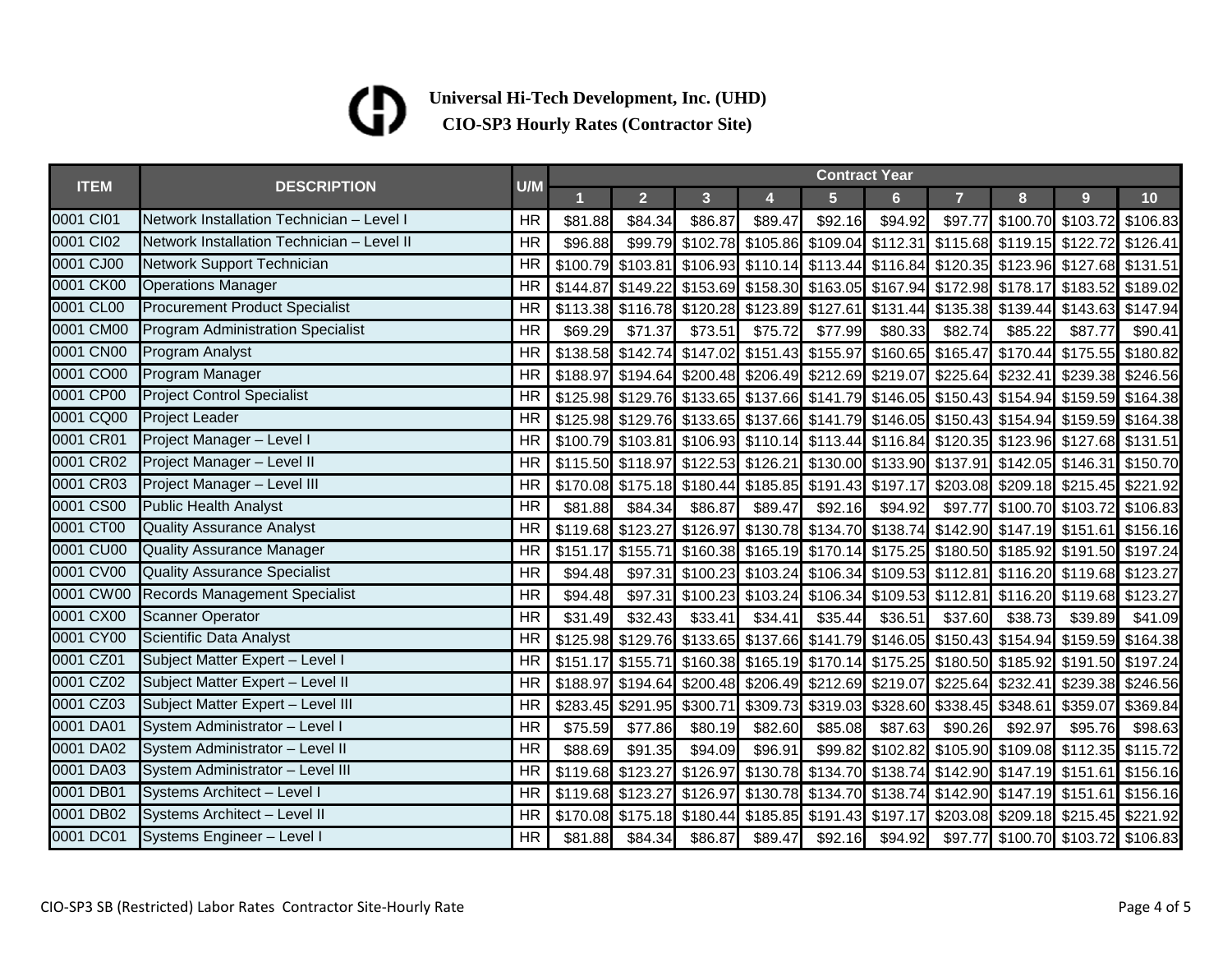### ⁄Ŋ

| <b>ITEM</b> | <b>DESCRIPTION</b>                         | U/M       | <b>Contract Year</b> |                                                                                           |                |                 |                |                |                                                                                  |                                    |                |         |  |
|-------------|--------------------------------------------|-----------|----------------------|-------------------------------------------------------------------------------------------|----------------|-----------------|----------------|----------------|----------------------------------------------------------------------------------|------------------------------------|----------------|---------|--|
|             |                                            |           |                      | $\overline{2}$                                                                            | 3 <sup>1</sup> | 4               | $5\phantom{1}$ | 6 <sup>1</sup> | $\overline{7}$                                                                   | 8                                  | 9 <sup>°</sup> | 10      |  |
| 0001 CI01   | Network Installation Technician - Level I  | <b>HR</b> | \$81.88              | \$84.34                                                                                   | \$86.87        | \$89.47         | \$92.16        | \$94.92        |                                                                                  | \$97.77 \$100.70 \$103.72 \$106.83 |                |         |  |
| 0001 Cl02   | Network Installation Technician - Level II | <b>HR</b> | \$96.88              |                                                                                           |                |                 |                |                | \$99.79 \$102.78 \$105.86 \$109.04 \$112.31 \$115.68 \$119.15 \$122.72 \$126.41  |                                    |                |         |  |
| 0001 CJ00   | Network Support Technician                 | <b>HR</b> |                      | \$100.79 \$103.81 \$106.93 \$110.14 \$113.44 \$116.84 \$120.35 \$123.96 \$127.68 \$131.51 |                |                 |                |                |                                                                                  |                                    |                |         |  |
| 0001 CK00   | <b>Operations Manager</b>                  | <b>HR</b> |                      | \$144.87 \$149.22 \$153.69 \$158.30 \$163.05 \$167.94 \$172.98 \$178.17 \$183.52 \$189.02 |                |                 |                |                |                                                                                  |                                    |                |         |  |
| 0001 CL00   | <b>Procurement Product Specialist</b>      | <b>HR</b> |                      | \$113.38 \$116.78 \$120.28 \$123.89 \$127.61 \$131.44 \$135.38 \$139.44 \$143.63 \$147.94 |                |                 |                |                |                                                                                  |                                    |                |         |  |
| 0001 CM00   | Program Administration Specialist          | <b>HR</b> | \$69.29              | \$71.37                                                                                   | \$73.51        | \$75.72         | \$77.99        | \$80.33        | \$82.74                                                                          | \$85.22                            | \$87.77        | \$90.41 |  |
| 0001 CN00   | <b>Program Analyst</b>                     | <b>HR</b> |                      | \$138.58 \$142.74 \$147.02 \$151.43 \$155.97 \$160.65 \$165.47 \$170.44 \$175.55 \$180.82 |                |                 |                |                |                                                                                  |                                    |                |         |  |
| 0001 CO00   | <b>Program Manager</b>                     | <b>HR</b> |                      | \$188.97 \$194.64 \$200.48 \$206.49 \$212.69 \$219.07 \$225.64 \$232.41 \$239.38 \$246.56 |                |                 |                |                |                                                                                  |                                    |                |         |  |
| 0001 CP00   | <b>Project Control Specialist</b>          | <b>HR</b> |                      | \$125.98 \$129.76 \$133.65 \$137.66 \$141.79 \$146.05 \$150.43 \$154.94 \$159.59 \$164.38 |                |                 |                |                |                                                                                  |                                    |                |         |  |
| 0001 CQ00   | <b>Project Leader</b>                      | <b>HR</b> |                      | \$125.98 \$129.76 \$133.65 \$137.66 \$141.79 \$146.05 \$150.43 \$154.94 \$159.59 \$164.38 |                |                 |                |                |                                                                                  |                                    |                |         |  |
| 0001 CR01   | Project Manager - Level I                  | <b>HR</b> |                      | \$100.79 \$103.81 \$106.93 \$110.14 \$113.44 \$116.84 \$120.35 \$123.96 \$127.68 \$131.51 |                |                 |                |                |                                                                                  |                                    |                |         |  |
| 0001 CR02   | Project Manager - Level II                 | <b>HR</b> |                      | \$115.50 \$118.97 \$122.53 \$126.21 \$130.00 \$133.90 \$137.91 \$142.05 \$146.31 \$150.70 |                |                 |                |                |                                                                                  |                                    |                |         |  |
| 0001 CR03   | Project Manager - Level III                | <b>HR</b> |                      | \$170.08 \$175.18 \$180.44 \$185.85 \$191.43 \$197.17 \$203.08 \$209.18 \$215.45 \$221.92 |                |                 |                |                |                                                                                  |                                    |                |         |  |
| 0001 CS00   | <b>Public Health Analyst</b>               | <b>HR</b> | \$81.88              | \$84.34                                                                                   | \$86.87        | \$89.47         | \$92.16        | \$94.92        |                                                                                  | \$97.77 \$100.70 \$103.72 \$106.83 |                |         |  |
| 0001 CT00   | <b>Quality Assurance Analyst</b>           | <b>HR</b> |                      | \$119.68 \$123.27 \$126.97 \$130.78 \$134.70 \$138.74 \$142.90 \$147.19 \$151.61 \$156.16 |                |                 |                |                |                                                                                  |                                    |                |         |  |
| 0001 CU00   | <b>Quality Assurance Manager</b>           | HR        | \$151.17             |                                                                                           |                |                 |                |                | \$155.71 \$160.38 \$165.19 \$170.14 \$175.25 \$180.50 \$185.92 \$191.50 \$197.24 |                                    |                |         |  |
| 0001 CV00   | <b>Quality Assurance Specialist</b>        | <b>HR</b> | \$94.48              |                                                                                           |                |                 |                |                | \$97.31 \$100.23 \$103.24 \$106.34 \$109.53 \$112.81 \$116.20 \$119.68 \$123.27  |                                    |                |         |  |
| 0001 CW00   | Records Management Specialist              | <b>HR</b> | \$94.48              |                                                                                           |                |                 |                |                | \$97.31 \$100.23 \$103.24 \$106.34 \$109.53 \$112.81 \$116.20 \$119.68 \$123.27  |                                    |                |         |  |
| 0001 CX00   | <b>Scanner Operator</b>                    | <b>HR</b> | \$31.49              | \$32.43                                                                                   | \$33.41        | \$34.41         | \$35.44        | \$36.51        | \$37.60                                                                          | \$38.73                            | \$39.89        | \$41.09 |  |
| 0001 CY00   | Scientific Data Analyst                    | <b>HR</b> |                      | \$125.98 \$129.76 \$133.65 \$137.66 \$141.79 \$146.05 \$150.43 \$154.94 \$159.59 \$164.38 |                |                 |                |                |                                                                                  |                                    |                |         |  |
| 0001 CZ01   | Subject Matter Expert - Level I            | HR        |                      | \$151.17 \$155.71 \$160.38 \$165.19 \$170.14 \$175.25 \$180.50 \$185.92 \$191.50 \$197.24 |                |                 |                |                |                                                                                  |                                    |                |         |  |
| 0001 CZ02   | Subject Matter Expert - Level II           | <b>HR</b> |                      | \$188.97 \$194.64 \$200.48 \$206.49 \$212.69 \$219.07 \$225.64 \$232.41 \$239.38 \$246.56 |                |                 |                |                |                                                                                  |                                    |                |         |  |
| 0001 CZ03   | Subject Matter Expert - Level III          | HR        |                      | \$283.45 \$291.95 \$300.71 \$309.73 \$319.03 \$328.60 \$338.45 \$348.61 \$359.07 \$369.84 |                |                 |                |                |                                                                                  |                                    |                |         |  |
| 0001 DA01   | System Administrator - Level I             | <b>HR</b> | \$75.59              | \$77.86                                                                                   | \$80.19        | \$82.60         | \$85.08        | \$87.63        | \$90.26                                                                          | \$92.97                            | \$95.76        | \$98.63 |  |
| 0001 DA02   | System Administrator - Level II            | <b>HR</b> | \$88.69              | \$91.35                                                                                   | \$94.09        | \$96.91         |                |                | \$99.82 \$102.82 \$105.90 \$109.08 \$112.35 \$115.72                             |                                    |                |         |  |
| 0001 DA03   | System Administrator - Level III           | HR        |                      | \$119.68 \$123.27 \$126.97 \$130.78 \$134.70 \$138.74 \$142.90 \$147.19 \$151.61 \$156.16 |                |                 |                |                |                                                                                  |                                    |                |         |  |
| 0001 DB01   | Systems Architect - Level I                | HR        |                      | \$119.68 \$123.27 \$126.97 \$130.78 \$134.70 \$138.74 \$142.90 \$147.19 \$151.61 \$156.16 |                |                 |                |                |                                                                                  |                                    |                |         |  |
| 0001 DB02   | Systems Architect - Level II               | <b>HR</b> |                      | \$170.08 \$175.18 \$180.44 \$185.85 \$191.43 \$197.17 \$203.08 \$209.18 \$215.45 \$221.92 |                |                 |                |                |                                                                                  |                                    |                |         |  |
| 0001 DC01   | Systems Engineer - Level I                 | <b>HR</b> | \$81.88              | \$84.34                                                                                   |                | \$86.87 \$89.47 |                |                | \$92.16 \$94.92 \$97.77 \$100.70 \$103.72 \$106.83                               |                                    |                |         |  |